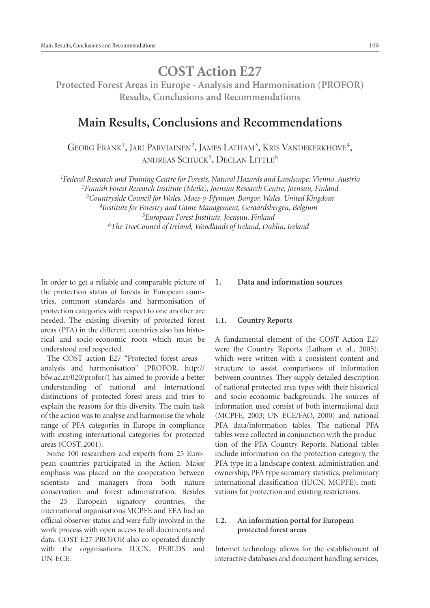# **COST Action E27**

**Protected Forest Areas in Europe - Analysis and Harmonisation (PROFOR) Results, Conclusions and Recommendations**

# **Main Results, Conclusions and Recommendations**

GEORG FRANK<sup>1</sup>, JARI PARVIAINEN<sup>2</sup>, JAMES LATHAM<sup>3</sup>, KRIS VANDEKERKHOVE<sup>4</sup>, ANDREAS SCHUCK<sup>5</sup>, DECLAN LITTLE<sup>6</sup>

*<sup>1</sup>Federal Research and Training Centre for Forests, Natural Hazards and Landscape, Vienna, Austria*

*<sup>2</sup>Finnish Forest Research Institute (Metla), Joensuu Research Centre, Joensuu, Finland*

*<sup>3</sup>Countryside Council for Wales, Maes-y-Ffynnon, Bangor, Wales, United Kingdom*

*4 Institute for Forestry and Game Management, Geraardsbergen, Belgium <sup>5</sup>European Forest Institute, Joensuu, Finland <sup>6</sup>The TreeCouncil of Ireland, Woodlands of Ireland, Dublin, Ireland*

In order to get a reliable and comparable picture of the protection status of forests in European countries, common standards and harmonisation of protection categories with respect to one another are needed. The existing diversity of protected forest areas (PFA) in the different countries also has historical and socio-economic roots which must be understood and respected.

The COST action E27 "Protected forest areas – analysis and harmonisation" (PROFOR, http:// bfw.ac.at/020/profor/) has aimed to provide a better understanding of national and international distinctions of protected forest areas and tries to explain the reasons for this diversity. The main task of the action was to analyse and harmonise the whole range of PFA categories in Europe in compliance with existing international categories for protected areas (COST, 2001).

Some 100 researchers and experts from 25 European countries participated in the Action. Major emphasis was placed on the cooperation between scientists and managers from both nature conservation and forest administration. Besides the 25 European signatory countries, the international organisations MCPFE and EEA had an official observer status and were fully involved in the work process with open access to all documents and data. COST E27 PROFOR also co-operated directly with the organisations IUCN, PEBLDS and UN-ECE.

# **1. Data and information sources**

#### **1.1. Country Reports**

A fundamental element of the COST Action E27 were the Country Reports (Latham et al., 2005), which were written with a consistent content and structure to assist comparisons of information between countries. They supply detailed description of national protected area types with their historical and socio-economic backgrounds. The sources of information used consist of both international data (MCPFE, 2003; UN-ECE/FAO, 2000) and national PFA data/information tables. The national PFA tables were collected in conjunction with the production of the PFA Country Reports. National tables include information on the protection category, the PFA type in a landscape context, administration and ownership, PFA type summary statistics, preliminary international classification (IUCN, MCPFE), motivations for protection and existing restrictions.

#### **1.2. An information portal for European protected forest areas**

Internet technology allows for the establishment of interactive databases and document handling services,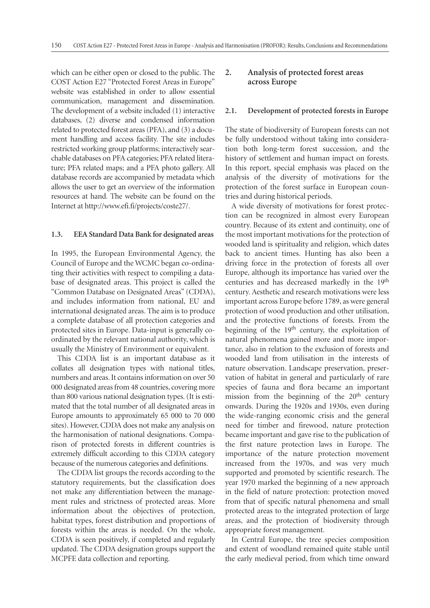which can be either open or closed to the public. The COST Action E27 "Protected Forest Areas in Europe" website was established in order to allow essential communication, management and dissemination. The development of a website included (1) interactive databases, (2) diverse and condensed information related to protected forest areas (PFA), and (3) a document handling and access facility. The site includes restricted working group platforms; interactively searchable databases on PFA categories; PFA related literature; PFA related maps; and a PFA photo gallery. All database records are accompanied by metadata which allows the user to get an overview of the information resources at hand. The website can be found on the Internet at http://www.efi.fi/projects/coste27/.

#### **1.3. EEA Standard Data Bank for designated areas**

In 1995, the European Environmental Agency, the Council of Europe and the WCMC began co-ordinating their activities with respect to compiling a database of designated areas. This project is called the "Common Database on Designated Areas" (CDDA), and includes information from national, EU and international designated areas. The aim is to produce a complete database of all protection categories and protected sites in Europe. Data-input is generally coordinated by the relevant national authority, which is usually the Ministry of Environment or equivalent.

This CDDA list is an important database as it collates all designation types with national titles, numbers and areas. It contains information on over 50 000 designated areas from 48 countries, covering more than 800 various national designation types. (It is estimated that the total number of all designated areas in Europe amounts to approximately 65 000 to 70 000 sites). However, CDDA does not make any analysis on the harmonisation of national designations. Comparison of protected forests in different countries is extremely difficult according to this CDDA category because of the numerous categories and definitions.

The CDDA list groups the records according to the statutory requirements, but the classification does not make any differentiation between the management rules and strictness of protected areas. More information about the objectives of protection, habitat types, forest distribution and proportions of forests within the areas is needed. On the whole, CDDA is seen positively, if completed and regularly updated. The CDDA designation groups support the MCPFE data collection and reporting.

# **2. Analysis of protected forest areas across Europe**

#### **2.1. Development of protected forests in Europe**

The state of biodiversity of European forests can not be fully understood without taking into consideration both long-term forest succession, and the history of settlement and human impact on forests. In this report, special emphasis was placed on the analysis of the diversity of motivations for the protection of the forest surface in European countries and during historical periods.

A wide diversity of motivations for forest protection can be recognized in almost every European country. Because of its extent and continuity, one of the most important motivations for the protection of wooded land is spirituality and religion, which dates back to ancient times. Hunting has also been a driving force in the protection of forests all over Europe, although its importance has varied over the centuries and has decreased markedly in the 19th century. Aesthetic and research motivations were less important across Europe before 1789, as were general protection of wood production and other utilisation, and the protective functions of forests. From the beginning of the 19<sup>th</sup> century, the exploitation of natural phenomena gained more and more importance, also in relation to the exclusion of forests and wooded land from utilisation in the interests of nature observation. Landscape preservation, preservation of habitat in general and particularly of rare species of fauna and flora became an important mission from the beginning of the  $20<sup>th</sup>$  century onwards. During the 1920s and 1930s, even during the wide-ranging economic crisis and the general need for timber and firewood, nature protection became important and gave rise to the publication of the first nature protection laws in Europe. The importance of the nature protection movement increased from the 1970s, and was very much supported and promoted by scientific research. The year 1970 marked the beginning of a new approach in the field of nature protection: protection moved from that of specific natural phenomena and small protected areas to the integrated protection of large areas, and the protection of biodiversity through appropriate forest management.

In Central Europe, the tree species composition and extent of woodland remained quite stable until the early medieval period, from which time onward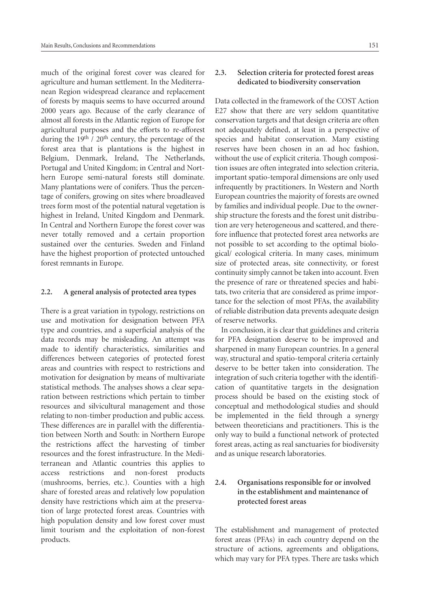much of the original forest cover was cleared for agriculture and human settlement. In the Mediterranean Region widespread clearance and replacement of forests by maquis seems to have occurred around 2000 years ago. Because of the early clearance of almost all forests in the Atlantic region of Europe for agricultural purposes and the efforts to re-afforest during the 19<sup>th</sup> / 20<sup>th</sup> century, the percentage of the forest area that is plantations is the highest in Belgium, Denmark, Ireland, The Netherlands, Portugal and United Kingdom; in Central and Northern Europe semi-natural forests still dominate. Many plantations were of conifers. Thus the percentage of conifers, growing on sites where broadleaved trees form most of the potential natural vegetation is highest in Ireland, United Kingdom and Denmark. In Central and Northern Europe the forest cover was never totally removed and a certain proportion sustained over the centuries. Sweden and Finland have the highest proportion of protected untouched forest remnants in Europe.

#### **2.2. A general analysis of protected area types**

There is a great variation in typology, restrictions on use and motivation for designation between PFA type and countries, and a superficial analysis of the data records may be misleading. An attempt was made to identify characteristics, similarities and differences between categories of protected forest areas and countries with respect to restrictions and motivation for designation by means of multivariate statistical methods. The analyses shows a clear separation between restrictions which pertain to timber resources and silvicultural management and those relating to non-timber production and public access. These differences are in parallel with the differentiation between North and South: in Northern Europe the restrictions affect the harvesting of timber resources and the forest infrastructure. In the Mediterranean and Atlantic countries this applies to access restrictions and non-forest products (mushrooms, berries, etc.). Counties with a high share of forested areas and relatively low population density have restrictions which aim at the preservation of large protected forest areas. Countries with high population density and low forest cover must limit tourism and the exploitation of non-forest products.

#### **2.3. Selection criteria for protected forest areas dedicated to biodiversity conservation**

Data collected in the framework of the COST Action E27 show that there are very seldom quantitative conservation targets and that design criteria are often not adequately defined, at least in a perspective of species and habitat conservation. Many existing reserves have been chosen in an ad hoc fashion, without the use of explicit criteria. Though composition issues are often integrated into selection criteria, important spatio-temporal dimensions are only used infrequently by practitioners. In Western and North European countries the majority of forests are owned by families and individual people. Due to the ownership structure the forests and the forest unit distribution are very heterogeneous and scattered, and therefore influence that protected forest area networks are not possible to set according to the optimal biological/ ecological criteria. In many cases, minimum size of protected areas, site connectivity, or forest continuity simply cannot be taken into account. Even the presence of rare or threatened species and habitats, two criteria that are considered as prime importance for the selection of most PFAs, the availability of reliable distribution data prevents adequate design of reserve networks.

In conclusion, it is clear that guidelines and criteria for PFA designation deserve to be improved and sharpened in many European countries. In a general way, structural and spatio-temporal criteria certainly deserve to be better taken into consideration. The integration of such criteria together with the identification of quantitative targets in the designation process should be based on the existing stock of conceptual and methodological studies and should be implemented in the field through a synergy between theoreticians and practitioners. This is the only way to build a functional network of protected forest areas, acting as real sanctuaries for biodiversity and as unique research laboratories.

# **2.4. Organisations responsible for or involved in the establishment and maintenance of protected forest areas**

The establishment and management of protected forest areas (PFAs) in each country depend on the structure of actions, agreements and obligations, which may vary for PFA types. There are tasks which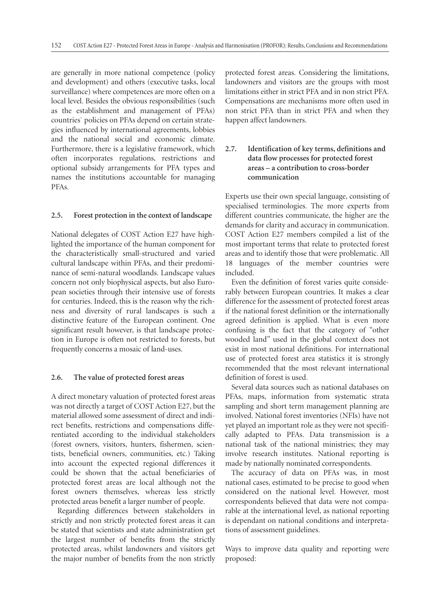are generally in more national competence (policy and development) and others (executive tasks, local surveillance) where competences are more often on a local level. Besides the obvious responsibilities (such as the establishment and management of PFAs) countries` policies on PFAs depend on certain strategies influenced by international agreements, lobbies and the national social and economic climate. Furthermore, there is a legislative framework, which often incorporates regulations, restrictions and optional subsidy arrangements for PFA types and names the institutions accountable for managing PFAs.

#### **2.5. Forest protection in the context of landscape**

National delegates of COST Action E27 have highlighted the importance of the human component for the characteristically small-structured and varied cultural landscape within PFAs, and their predominance of semi-natural woodlands. Landscape values concern not only biophysical aspects, but also European societies through their intensive use of forests for centuries. Indeed, this is the reason why the richness and diversity of rural landscapes is such a distinctive feature of the European continent. One significant result however, is that landscape protection in Europe is often not restricted to forests, but frequently concerns a mosaic of land-uses.

#### **2.6. The value of protected forest areas**

A direct monetary valuation of protected forest areas was not directly a target of COST Action E27, but the material allowed some assessment of direct and indirect benefits, restrictions and compensations differentiated according to the individual stakeholders (forest owners, visitors, hunters, fishermen, scientists, beneficial owners, communities, etc.) Taking into account the expected regional differences it could be shown that the actual beneficiaries of protected forest areas are local although not the forest owners themselves, whereas less strictly protected areas benefit a larger number of people.

Regarding differences between stakeholders in strictly and non strictly protected forest areas it can be stated that scientists and state administration get the largest number of benefits from the strictly protected areas, whilst landowners and visitors get the major number of benefits from the non strictly protected forest areas. Considering the limitations, landowners and visitors are the groups with most limitations either in strict PFA and in non strict PFA. Compensations are mechanisms more often used in non strict PFA than in strict PFA and when they happen affect landowners.

# **2.7. Identification of key terms, definitions and data flow processes for protected forest areas – a contribution to cross-border communication**

Experts use their own special language, consisting of specialised terminologies. The more experts from different countries communicate, the higher are the demands for clarity and accuracy in communication. COST Action E27 members compiled a list of the most important terms that relate to protected forest areas and to identify those that were problematic. All 18 languages of the member countries were included.

Even the definition of forest varies quite considerably between European countries. It makes a clear difference for the assessment of protected forest areas if the national forest definition or the internationally agreed definition is applied. What is even more confusing is the fact that the category of "other wooded land" used in the global context does not exist in most national definitions. For international use of protected forest area statistics it is strongly recommended that the most relevant international definition of forest is used.

Several data sources such as national databases on PFAs, maps, information from systematic strata sampling and short term management planning are involved. National forest inventories (NFIs) have not yet played an important role as they were not specifically adapted to PFAs. Data transmission is a national task of the national ministries; they may involve research institutes. National reporting is made by nationally nominated correspondents.

The accuracy of data on PFAs was, in most national cases, estimated to be precise to good when considered on the national level. However, most correspondents believed that data were not comparable at the international level, as national reporting is dependant on national conditions and interpretations of assessment guidelines.

Ways to improve data quality and reporting were proposed: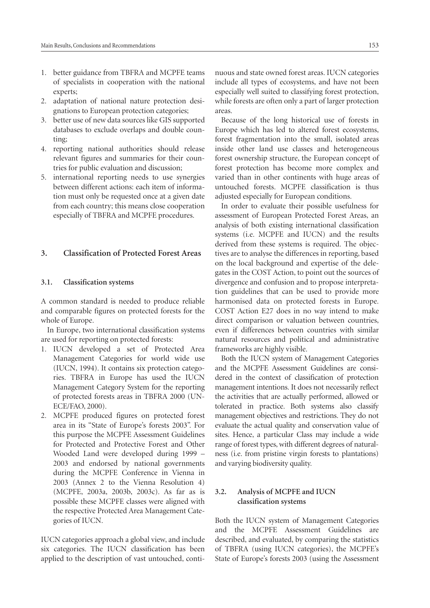- 1. better guidance from TBFRA and MCPFE teams of specialists in cooperation with the national experts;
- 2. adaptation of national nature protection designations to European protection categories;
- 3. better use of new data sources like GIS supported databases to exclude overlaps and double counting;
- 4. reporting national authorities should release relevant figures and summaries for their countries for public evaluation and discussion;
- 5. international reporting needs to use synergies between different actions: each item of information must only be requested once at a given date from each country; this means close cooperation especially of TBFRA and MCPFE procedures.

#### **3. Classification of Protected Forest Areas**

#### **3.1. Classification systems**

A common standard is needed to produce reliable and comparable figures on protected forests for the whole of Europe.

In Europe, two international classification systems are used for reporting on protected forests:

- 1. IUCN developed a set of Protected Area Management Categories for world wide use (IUCN, 1994). It contains six protection categories. TBFRA in Europe has used the IUCN Management Category System for the reporting of protected forests areas in TBFRA 2000 (UN-ECE/FAO, 2000).
- 2. MCPFE produced figures on protected forest area in its "State of Europe's forests 2003". For this purpose the MCPFE Assessment Guidelines for Protected and Protective Forest and Other Wooded Land were developed during 1999 – 2003 and endorsed by national governments during the MCPFE Conference in Vienna in 2003 (Annex 2 to the Vienna Resolution 4) (MCPFE, 2003a, 2003b, 2003c). As far as is possible these MCPFE classes were aligned with the respective Protected Area Management Categories of IUCN.

IUCN categories approach a global view, and include six categories. The IUCN classification has been applied to the description of vast untouched, continuous and state owned forest areas. IUCN categories include all types of ecosystems, and have not been especially well suited to classifying forest protection, while forests are often only a part of larger protection areas.

Because of the long historical use of forests in Europe which has led to altered forest ecosystems, forest fragmentation into the small, isolated areas inside other land use classes and heterogeneous forest ownership structure, the European concept of forest protection has become more complex and varied than in other continents with huge areas of untouched forests. MCPFE classification is thus adjusted especially for European conditions.

In order to evaluate their possible usefulness for assessment of European Protected Forest Areas, an analysis of both existing international classification systems (i.e. MCPFE and IUCN) and the results derived from these systems is required. The objectives are to analyse the differences in reporting, based on the local background and expertise of the delegates in the COST Action, to point out the sources of divergence and confusion and to propose interpretation guidelines that can be used to provide more harmonised data on protected forests in Europe. COST Action E27 does in no way intend to make direct comparison or valuation between countries, even if differences between countries with similar natural resources and political and administrative frameworks are highly visible.

Both the IUCN system of Management Categories and the MCPFE Assessment Guidelines are considered in the context of classification of protection management intentions. It does not necessarily reflect the activities that are actually performed, allowed or tolerated in practice. Both systems also classify management objectives and restrictions. They do not evaluate the actual quality and conservation value of sites. Hence, a particular Class may include a wide range of forest types, with different degrees of naturalness (i.e. from pristine virgin forests to plantations) and varying biodiversity quality.

#### **3.2. Analysis of MCPFE and IUCN classification systems**

Both the IUCN system of Management Categories and the MCPFE Assessment Guidelines are described, and evaluated, by comparing the statistics of TBFRA (using IUCN categories), the MCPFE's State of Europe's forests 2003 (using the Assessment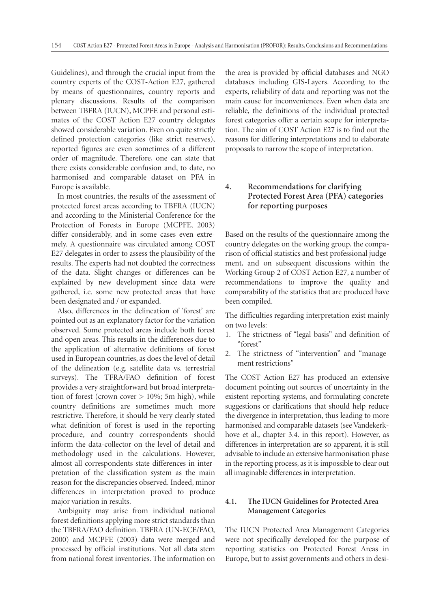Guidelines), and through the crucial input from the country experts of the COST-Action E27, gathered by means of questionnaires, country reports and plenary discussions. Results of the comparison between TBFRA (IUCN), MCPFE and personal estimates of the COST Action E27 country delegates showed considerable variation. Even on quite strictly defined protection categories (like strict reserves), reported figures are even sometimes of a different order of magnitude. Therefore, one can state that there exists considerable confusion and, to date, no harmonised and comparable dataset on PFA in Europe is available.

In most countries, the results of the assessment of protected forest areas according to TBFRA (IUCN) and according to the Ministerial Conference for the Protection of Forests in Europe (MCPFE, 2003) differ considerably, and in some cases even extremely. A questionnaire was circulated among COST E27 delegates in order to assess the plausibility of the results. The experts had not doubted the correctness of the data. Slight changes or differences can be explained by new development since data were gathered, i.e. some new protected areas that have been designated and / or expanded.

Also, differences in the delineation of 'forest' are pointed out as an explanatory factor for the variation observed. Some protected areas include both forest and open areas. This results in the differences due to the application of alternative definitions of forest used in European countries, as does the level of detail of the delineation (e.g. satellite data vs. terrestrial surveys). The TFRA/FAO definition of forest provides a very straightforward but broad interpretation of forest (crown cover  $> 10\%$ ; 5m high), while country definitions are sometimes much more restrictive. Therefore, it should be very clearly stated what definition of forest is used in the reporting procedure, and country correspondents should inform the data-collector on the level of detail and methodology used in the calculations. However, almost all correspondents state differences in interpretation of the classification system as the main reason for the discrepancies observed. Indeed, minor differences in interpretation proved to produce major variation in results.

Ambiguity may arise from individual national forest definitions applying more strict standards than the TBFRA/FAO definition. TBFRA (UN-ECE/FAO, 2000) and MCPFE (2003) data were merged and processed by official institutions. Not all data stem from national forest inventories. The information on

the area is provided by official databases and NGO databases including GIS-Layers. According to the experts, reliability of data and reporting was not the main cause for inconveniences. Even when data are reliable, the definitions of the individual protected forest categories offer a certain scope for interpretation. The aim of COST Action E27 is to find out the reasons for differing interpretations and to elaborate proposals to narrow the scope of interpretation.

# **4. Recommendations for clarifying Protected Forest Area (PFA) categories for reporting purposes**

Based on the results of the questionnaire among the country delegates on the working group, the comparison of official statistics and best professional judgement, and on subsequent discussions within the Working Group 2 of COST Action E27, a number of recommendations to improve the quality and comparability of the statistics that are produced have been compiled.

The difficulties regarding interpretation exist mainly on two levels:

- 1. The strictness of "legal basis" and definition of "forest"
- 2. The strictness of "intervention" and "management restrictions"

The COST Action E27 has produced an extensive document pointing out sources of uncertainty in the existent reporting systems, and formulating concrete suggestions or clarifications that should help reduce the divergence in interpretation, thus leading to more harmonised and comparable datasets (see Vandekerkhove et al., chapter 3.4. in this report). However, as differences in interpretation are so apparent, it is still advisable to include an extensive harmonisation phase in the reporting process, as it is impossible to clear out all imaginable differences in interpretation.

# **4.1. The IUCN Guidelines for Protected Area Management Categories**

The IUCN Protected Area Management Categories were not specifically developed for the purpose of reporting statistics on Protected Forest Areas in Europe, but to assist governments and others in desi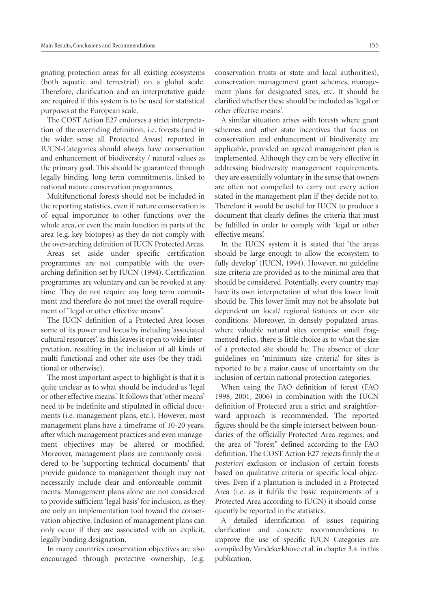gnating protection areas for all existing ecosystems (both aquatic and terrestrial) on a global scale. Therefore, clarification and an interpretative guide are required if this system is to be used for statistical purposes at the European scale.

The COST Action E27 endorses a strict interpretation of the overriding definition, i.e. forests (and in the wider sense all Protected Areas) reported in IUCN-Categories should always have conservation and enhancement of biodiversity / natural values as the primary goal. This should be guaranteed through legally binding, long term commitments, linked to national nature conservation programmes.

Multifunctional forests should not be included in the reporting statistics, even if nature conservation is of equal importance to other functions over the whole area, or even the main function in parts of the area (e.g. key biotopes) as they do not comply with the over-arching definition of IUCN Protected Areas.

Areas set aside under specific certification programmes are not compatible with the overarching definition set by IUCN (1994). Certification programmes are voluntary and can be revoked at any time. They do not require any long term commitment and therefore do not meet the overall requirement of "legal or other effective means".

The IUCN definition of a Protected Area looses some of its power and focus by including 'associated cultural resources', as this leaves it open to wide interpretation, resulting in the inclusion of all kinds of multi-functional and other site uses (be they traditional or otherwise).

The most important aspect to highlight is that it is quite unclear as to what should be included as 'legal or other effective means.' It follows that 'other means' need to be indefinite and stipulated in official documents (i.e. management plans, etc.). However, most management plans have a timeframe of 10-20 years, after which management practices and even management objectives may be altered or modified. Moreover, management plans are commonly considered to be 'supporting technical documents' that provide guidance to management though may not necessarily include clear and enforceable commitments. Management plans alone are not considered to provide sufficient 'legal basis' for inclusion, as they are only an implementation tool toward the conservation objective. Inclusion of management plans can only occur if they are associated with an explicit, legally binding designation.

In many countries conservation objectives are also encouraged through protective ownership, (e.g.

conservation trusts or state and local authorities), conservation management grant schemes, management plans for designated sites, etc. It should be clarified whether these should be included as 'legal or other effective means'.

A similar situation arises with forests where grant schemes and other state incentives that focus on conservation and enhancement of biodiversity are applicable, provided an agreed management plan is implemented. Although they can be very effective in addressing biodiversity management requirements, they are essentially voluntary in the sense that owners are often not compelled to carry out every action stated in the management plan if they decide not to. Therefore it would be useful for IUCN to produce a document that clearly defines the criteria that must be fulfilled in order to comply with 'legal or other effective means'.

In the IUCN system it is stated that 'the areas should be large enough to allow the ecosystem to fully develop' (IUCN, 1994). However, no guideline size criteria are provided as to the minimal area that should be considered. Potentially, every country may have its own interpretation of what this lower limit should be. This lower limit may not be absolute but dependent on local/ regional features or even site conditions. Moreover, in densely populated areas, where valuable natural sites comprise small fragmented relics, there is little choice as to what the size of a protected site should be. The absence of clear guidelines on 'minimum size criteria' for sites is reported to be a major cause of uncertainty on the inclusion of certain national protection categories.

When using the FAO definition of forest (FAO 1998, 2001, 2006) in combination with the IUCN definition of Protected area a strict and straightforward approach is recommended. The reported figures should be the simple intersect between boundaries of the officially Protected Area regimes, and the area of "forest" defined according to the FAO definition. The COST Action E27 rejects firmly the *a posteriori* exclusion or inclusion of certain forests based on qualitative criteria or specific local objectives. Even if a plantation is included in a Protected Area (i.e. as it fulfils the basic requirements of a Protected Area according to IUCN) it should consequently be reported in the statistics.

A detailed identification of issues requiring clarification and concrete recommendations to improve the use of specific IUCN Categories are compiled by Vandekerkhove et al. in chapter 3.4. in this publication.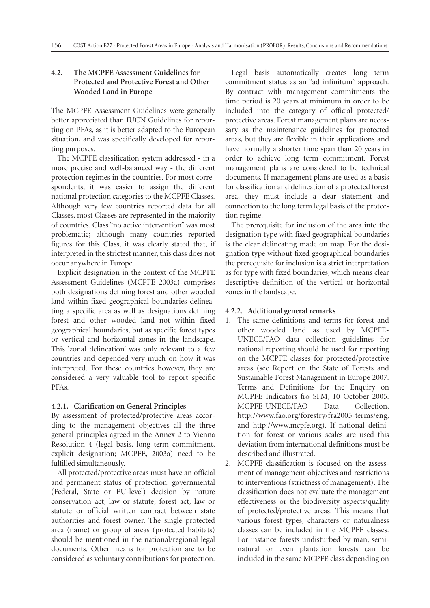# **4.2. The MCPFE Assessment Guidelines for Protected and Protective Forest and Other Wooded Land in Europe**

The MCPFE Assessment Guidelines were generally better appreciated than IUCN Guidelines for reporting on PFAs, as it is better adapted to the European situation, and was specifically developed for reporting purposes.

The MCPFE classification system addressed - in a more precise and well-balanced way - the different protection regimes in the countries. For most correspondents, it was easier to assign the different national protection categories to the MCPFE Classes. Although very few countries reported data for all Classes, most Classes are represented in the majority of countries. Class "no active intervention" was most problematic; although many countries reported figures for this Class, it was clearly stated that, if interpreted in the strictest manner, this class does not occur anywhere in Europe.

Explicit designation in the context of the MCPFE Assessment Guidelines (MCPFE 2003a) comprises both designations defining forest and other wooded land within fixed geographical boundaries delineating a specific area as well as designations defining forest and other wooded land not within fixed geographical boundaries, but as specific forest types or vertical and horizontal zones in the landscape. This 'zonal delineation' was only relevant to a few countries and depended very much on how it was interpreted. For these countries however, they are considered a very valuable tool to report specific PFAs.

# **4.2.1. Clarification on General Principles**

By assessment of protected/protective areas according to the management objectives all the three general principles agreed in the Annex 2 to Vienna Resolution 4 (legal basis, long term commitment, explicit designation; MCPFE, 2003a) need to be fulfilled simultaneously.

All protected/protective areas must have an official and permanent status of protection: governmental (Federal, State or EU-level) decision by nature conservation act, law or statute, forest act, law or statute or official written contract between state authorities and forest owner. The single protected area (name) or group of areas (protected habitats) should be mentioned in the national/regional legal documents. Other means for protection are to be considered as voluntary contributions for protection.

Legal basis automatically creates long term commitment status as an "ad infinitum" approach. By contract with management commitments the time period is 20 years at minimum in order to be included into the category of official protected/ protective areas. Forest management plans are necessary as the maintenance guidelines for protected areas, but they are flexible in their applications and have normally a shorter time span than 20 years in order to achieve long term commitment. Forest management plans are considered to be technical documents. If management plans are used as a basis for classification and delineation of a protected forest area, they must include a clear statement and connection to the long term legal basis of the protection regime.

The prerequisite for inclusion of the area into the designation type with fixed geographical boundaries is the clear delineating made on map. For the designation type without fixed geographical boundaries the prerequisite for inclusion is a strict interpretation as for type with fixed boundaries, which means clear descriptive definition of the vertical or horizontal zones in the landscape.

# **4.2.2. Additional general remarks**

- 1. The same definitions and terms for forest and other wooded land as used by MCPFE-UNECE/FAO data collection guidelines for national reporting should be used for reporting on the MCPFE classes for protected/protective areas (see Report on the State of Forests and Sustainable Forest Management in Europe 2007. Terms and Definitions for the Enquiry on MCPFE Indicators fro SFM, 10 October 2005. MCPFE-UNECE/FAO Data Collection, http://www.fao.org/forestry/fra2005-terms/eng, and http://www.mcpfe.org). If national definition for forest or various scales are used this deviation from international definitions must be described and illustrated.
- 2. MCPFE classification is focused on the assessment of management objectives and restrictions to interventions (strictness of management). The classification does not evaluate the management effectiveness or the biodiversity aspects/quality of protected/protective areas. This means that various forest types, characters or naturalness classes can be included in the MCPFE classes. For instance forests undisturbed by man, seminatural or even plantation forests can be included in the same MCPFE class depending on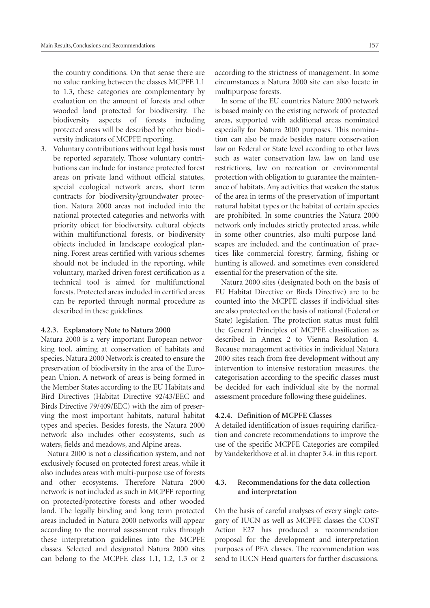the country conditions. On that sense there are no value ranking between the classes MCPFE 1.1 to 1.3, these categories are complementary by evaluation on the amount of forests and other wooded land protected for biodiversity. The biodiversity aspects of forests including protected areas will be described by other biodiversity indicators of MCPFE reporting.

3. Voluntary contributions without legal basis must be reported separately. Those voluntary contributions can include for instance protected forest areas on private land without official statutes, special ecological network areas, short term contracts for biodiversity/groundwater protection, Natura 2000 areas not included into the national protected categories and networks with priority object for biodiversity, cultural objects within multifunctional forests, or biodiversity objects included in landscape ecological planning. Forest areas certified with various schemes should not be included in the reporting, while voluntary, marked driven forest certification as a technical tool is aimed for multifunctional forests. Protected areas included in certified areas can be reported through normal procedure as described in these guidelines.

#### **4.2.3. Explanatory Note to Natura 2000**

Natura 2000 is a very important European networking tool, aiming at conservation of habitats and species. Natura 2000 Network is created to ensure the preservation of biodiversity in the area of the European Union. A network of areas is being formed in the Member States according to the EU Habitats and Bird Directives (Habitat Directive 92/43/EEC and Birds Directive 79/409/EEC) with the aim of preserving the most important habitats, natural habitat types and species. Besides forests, the Natura 2000 network also includes other ecosystems, such as waters, fields and meadows, and Alpine areas.

Natura 2000 is not a classification system, and not exclusively focused on protected forest areas, while it also includes areas with multi-purpose use of forests and other ecosystems. Therefore Natura 2000 network is not included as such in MCPFE reporting on protected/protective forests and other wooded land. The legally binding and long term protected areas included in Natura 2000 networks will appear according to the normal assessment rules through these interpretation guidelines into the MCPFE classes. Selected and designated Natura 2000 sites can belong to the MCPFE class 1.1, 1.2, 1.3 or 2 according to the strictness of management. In some circumstances a Natura 2000 site can also locate in multipurpose forests.

In some of the EU countries Nature 2000 network is based mainly on the existing network of protected areas, supported with additional areas nominated especially for Natura 2000 purposes. This nomination can also be made besides nature conservation law on Federal or State level according to other laws such as water conservation law, law on land use restrictions, law on recreation or environmental protection with obligation to guarantee the maintenance of habitats. Any activities that weaken the status of the area in terms of the preservation of important natural habitat types or the habitat of certain species are prohibited. In some countries the Natura 2000 network only includes strictly protected areas, while in some other countries, also multi-purpose landscapes are included, and the continuation of practices like commercial forestry, farming, fishing or hunting is allowed, and sometimes even considered essential for the preservation of the site.

Natura 2000 sites (designated both on the basis of EU Habitat Directive or Birds Directive) are to be counted into the MCPFE classes if individual sites are also protected on the basis of national (Federal or State) legislation. The protection status must fulfil the General Principles of MCPFE classification as described in Annex 2 to Vienna Resolution 4. Because management activities in individual Natura 2000 sites reach from free development without any intervention to intensive restoration measures, the categorisation according to the specific classes must be decided for each individual site by the normal assessment procedure following these guidelines.

#### **4.2.4. Definition of MCPFE Classes**

A detailed identification of issues requiring clarification and concrete recommendations to improve the use of the specific MCPFE Categories are compiled by Vandekerkhove et al. in chapter 3.4. in this report.

## **4.3. Recommendations for the data collection and interpretation**

On the basis of careful analyses of every single category of IUCN as well as MCPFE classes the COST Action E27 has produced a recommendation proposal for the development and interpretation purposes of PFA classes. The recommendation was send to IUCN Head quarters for further discussions.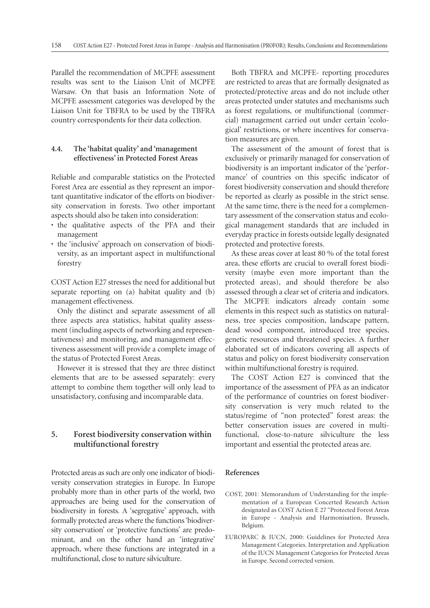Parallel the recommendation of MCPFE assessment results was sent to the Liaison Unit of MCPFE Warsaw. On that basis an Information Note of MCPFE assessment categories was developed by the Liaison Unit for TBFRA to be used by the TBFRA country correspondents for their data collection.

## **4.4. The 'habitat quality' and 'management effectiveness' in Protected Forest Areas**

Reliable and comparable statistics on the Protected Forest Area are essential as they represent an important quantitative indicator of the efforts on biodiversity conservation in forests. Two other important aspects should also be taken into consideration:

- the qualitative aspects of the PFA and their management
- the 'inclusive' approach on conservation of biodiversity, as an important aspect in multifunctional forestry

COST Action E27 stresses the need for additional but separate reporting on (a) habitat quality and (b) management effectiveness.

Only the distinct and separate assessment of all three aspects area statistics, habitat quality assessment (including aspects of networking and representativeness) and monitoring, and management effectiveness assessment will provide a complete image of the status of Protected Forest Areas.

However it is stressed that they are three distinct elements that are to be assessed separately: every attempt to combine them together will only lead to unsatisfactory, confusing and incomparable data.

# **5. Forest biodiversity conservation within multifunctional forestry**

Protected areas as such are only one indicator of biodiversity conservation strategies in Europe. In Europe probably more than in other parts of the world, two approaches are being used for the conservation of biodiversity in forests. A 'segregative' approach, with formally protected areas where the functions 'biodiversity conservation' or 'protective functions' are predominant, and on the other hand an 'integrative' approach, where these functions are integrated in a multifunctional, close to nature silviculture.

Both TBFRA and MCPFE- reporting procedures are restricted to areas that are formally designated as protected/protective areas and do not include other areas protected under statutes and mechanisms such as forest regulations, or multifunctional (commercial) management carried out under certain 'ecological' restrictions, or where incentives for conservation measures are given.

The assessment of the amount of forest that is exclusively or primarily managed for conservation of biodiversity is an important indicator of the 'performance' of countries on this specific indicator of forest biodiversity conservation and should therefore be reported as clearly as possible in the strict sense. At the same time, there is the need for a complementary assessment of the conservation status and ecological management standards that are included in everyday practice in forests outside legally designated protected and protective forests.

As these areas cover at least 80 % of the total forest area, these efforts are crucial to overall forest biodiversity (maybe even more important than the protected areas), and should therefore be also assessed through a clear set of criteria and indicators. The MCPFE indicators already contain some elements in this respect such as statistics on naturalness, tree species composition, landscape pattern, dead wood component, introduced tree species, genetic resources and threatened species. A further elaborated set of indicators covering all aspects of status and policy on forest biodiversity conservation within multifunctional forestry is required.

The COST Action E27 is convinced that the importance of the assessment of PFA as an indicator of the performance of countries on forest biodiversity conservation is very much related to the status/regime of "non protected" forest areas: the better conservation issues are covered in multifunctional, close-to-nature silviculture the less important and essential the protected areas are.

#### **References**

- COST, 2001: Memorandum of Understanding for the implementation of a European Concerted Research Action designated as COST Action E 27 "Protected Forest Areas in Europe - Analysis and Harmonisation, Brussels, Belgium.
- EUROPARC & IUCN, 2000: Guidelines for Protected Area Management Categories. Interpretation and Application of the IUCN Management Categories for Protected Areas in Europe. Second corrected version.